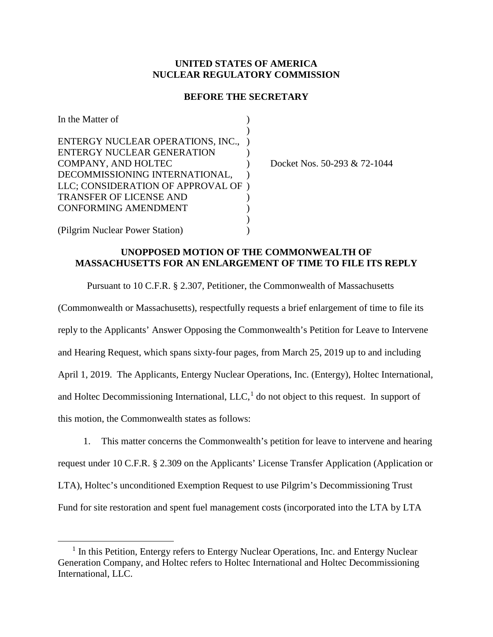#### **UNITED STATES OF AMERICA NUCLEAR REGULATORY COMMISSION**

#### **BEFORE THE SECRETARY**

| In the Matter of                   |  |
|------------------------------------|--|
|                                    |  |
| ENTERGY NUCLEAR OPERATIONS, INC.,  |  |
| ENTERGY NUCLEAR GENERATION         |  |
| COMPANY, AND HOLTEC                |  |
| DECOMMISSIONING INTERNATIONAL,     |  |
| LLC; CONSIDERATION OF APPROVAL OF) |  |
| <b>TRANSFER OF LICENSE AND</b>     |  |
| <b>CONFORMING AMENDMENT</b>        |  |
|                                    |  |
| (Pilgrim Nuclear Power Station)    |  |

Docket Nos. 50-293 & 72-1044

## **UNOPPOSED MOTION OF THE COMMONWEALTH OF MASSACHUSETTS FOR AN ENLARGEMENT OF TIME TO FILE ITS REPLY**

Pursuant to 10 C.F.R. § 2.307, Petitioner, the Commonwealth of Massachusetts

(Commonwealth or Massachusetts), respectfully requests a brief enlargement of time to file its reply to the Applicants' Answer Opposing the Commonwealth's Petition for Leave to Intervene and Hearing Request, which spans sixty-four pages, from March 25, 2019 up to and including April 1, 2019. The Applicants, Entergy Nuclear Operations, Inc. (Entergy), Holtec International, and Holtec Decommissioning International,  $LLC<sup>1</sup>$  $LLC<sup>1</sup>$  $LLC<sup>1</sup>$  do not object to this request. In support of this motion, the Commonwealth states as follows:

1. This matter concerns the Commonwealth's petition for leave to intervene and hearing request under 10 C.F.R. § 2.309 on the Applicants' License Transfer Application (Application or LTA), Holtec's unconditioned Exemption Request to use Pilgrim's Decommissioning Trust Fund for site restoration and spent fuel management costs (incorporated into the LTA by LTA

<span id="page-0-0"></span> $<sup>1</sup>$  In this Petition, Entergy refers to Entergy Nuclear Operations, Inc. and Entergy Nuclear</sup> Generation Company, and Holtec refers to Holtec International and Holtec Decommissioning International, LLC.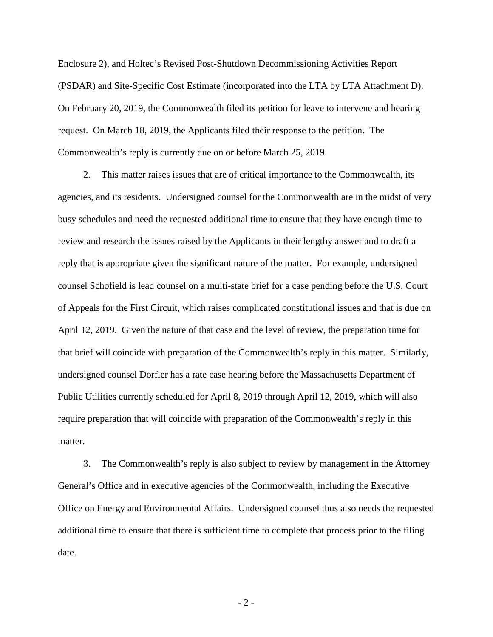Enclosure 2), and Holtec's Revised Post-Shutdown Decommissioning Activities Report (PSDAR) and Site-Specific Cost Estimate (incorporated into the LTA by LTA Attachment D). On February 20, 2019, the Commonwealth filed its petition for leave to intervene and hearing request. On March 18, 2019, the Applicants filed their response to the petition. The Commonwealth's reply is currently due on or before March 25, 2019.

2. This matter raises issues that are of critical importance to the Commonwealth, its agencies, and its residents. Undersigned counsel for the Commonwealth are in the midst of very busy schedules and need the requested additional time to ensure that they have enough time to review and research the issues raised by the Applicants in their lengthy answer and to draft a reply that is appropriate given the significant nature of the matter. For example, undersigned counsel Schofield is lead counsel on a multi-state brief for a case pending before the U.S. Court of Appeals for the First Circuit, which raises complicated constitutional issues and that is due on April 12, 2019. Given the nature of that case and the level of review, the preparation time for that brief will coincide with preparation of the Commonwealth's reply in this matter. Similarly, undersigned counsel Dorfler has a rate case hearing before the Massachusetts Department of Public Utilities currently scheduled for April 8, 2019 through April 12, 2019, which will also require preparation that will coincide with preparation of the Commonwealth's reply in this matter.

3. The Commonwealth's reply is also subject to review by management in the Attorney General's Office and in executive agencies of the Commonwealth, including the Executive Office on Energy and Environmental Affairs. Undersigned counsel thus also needs the requested additional time to ensure that there is sufficient time to complete that process prior to the filing date.

- 2 -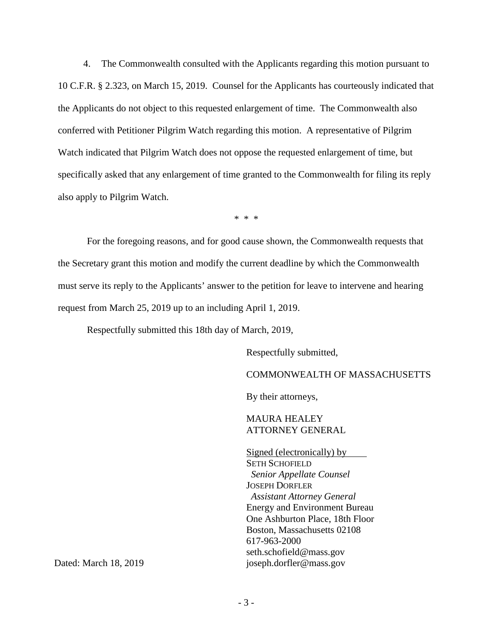4. The Commonwealth consulted with the Applicants regarding this motion pursuant to 10 C.F.R. § 2.323, on March 15, 2019. Counsel for the Applicants has courteously indicated that the Applicants do not object to this requested enlargement of time. The Commonwealth also conferred with Petitioner Pilgrim Watch regarding this motion. A representative of Pilgrim Watch indicated that Pilgrim Watch does not oppose the requested enlargement of time, but specifically asked that any enlargement of time granted to the Commonwealth for filing its reply also apply to Pilgrim Watch.

\* \* \*

For the foregoing reasons, and for good cause shown, the Commonwealth requests that the Secretary grant this motion and modify the current deadline by which the Commonwealth must serve its reply to the Applicants' answer to the petition for leave to intervene and hearing request from March 25, 2019 up to an including April 1, 2019.

Respectfully submitted this 18th day of March, 2019,

Respectfully submitted,

COMMONWEALTH OF MASSACHUSETTS

By their attorneys,

## MAURA HEALEY ATTORNEY GENERAL

Signed (electronically) by SETH SCHOFIELD *Senior Appellate Counsel* JOSEPH DORFLER *Assistant Attorney General* Energy and Environment Bureau One Ashburton Place, 18th Floor Boston, Massachusetts 02108 617-963-2000 seth.schofield@mass.gov joseph.dorfler@mass.gov

Dated: March 18, 2019